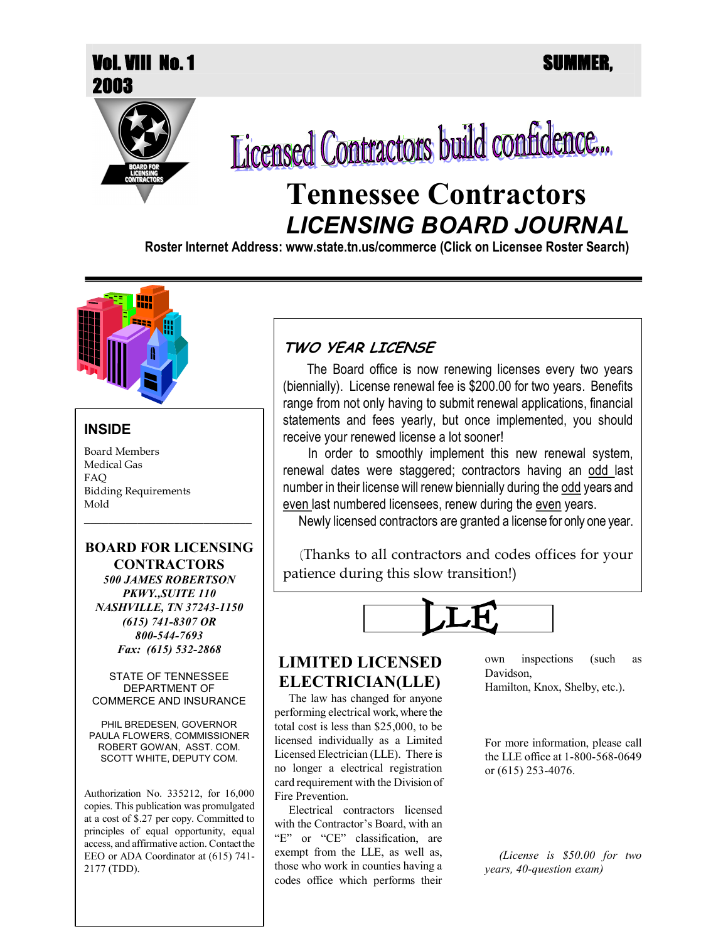# Vol. VIII-No. 1 2003



# Licensed Contractors build confidence...

# **Tennessee Contractors**  *LICENSING BOARD JOURNAL*

**Roster Internet Address: www.state.tn.us/commerce (Click on Licensee Roster Search)**



### **INSIDE**

Board Members Medical Gas FAQ Bidding Requirements Mold

**BOARD FOR LICENSING CONTRACTORS**

\_\_\_\_\_\_\_\_\_\_\_\_\_\_\_\_\_\_\_\_\_\_\_\_\_\_\_\_

*500 JAMES ROBERTSON PKWY.,SUITE 110 NASHVILLE, TN 37243-1150 (615) 741-8307 OR 8005447693 Fax:* (615) 532-2868

STATE OF TENNESSEE DEPARTMENT OF COMMERCE AND INSURANCE

PHIL BREDESEN, GOVERNOR PAULA FLOWERS, COMMISSIONER ROBERT GOWAN, ASST. COM. SCOTT WHITE, DEPUTY COM.

Authorization No. 335212, for 16,000 copies. This publication was promulgated at a cost of \$.27 per copy. Committed to principles of equal opportunity, equal access, and affirmative action. Contact the EEO or ADA Coordinator at (615) 741 2177 (TDD).

### **TWO YEAR LICENSE**

The Board office is now renewing licenses every two years (biennially). License renewal fee is \$200.00 for two years. Benefits range from not only having to submit renewal applications, financial statements and fees yearly, but once implemented, you should receive your renewed license a lot sooner!

In order to smoothly implement this new renewal system, renewal dates were staggered; contractors having an odd last number in their license will renew biennially during the odd years and even last numbered licensees, renew during the even years.

Newly licensed contractors are granted a license for only one year.

 $\mathbf{p}$  patience during this slow transition!) (Thanks to all contractors and codes offices for your



### **LIMITED LICENSED ELECTRICIAN(LLE)**

The law has changed for anyone performing electrical work,where the total cost is less than \$25,000, to be licensed individually as a Limited Licensed Electrician (LLE). There is no longer a electrical registration card requirement with the Division of Fire Prevention.

Electrical contractors licensed with the Contractor's Board, with an "E" or "CE" classification, are exempt from the LLE, as well as, those who work in counties having a codes office which performs their

own inspections (such as Davidson, Hamilton, Knox, Shelby, etc.).

For more information, please call the LLE office at  $1-800-568-0649$ or (615) 253-4076.

*(License is \$50.00 for two years, 40-question exam)*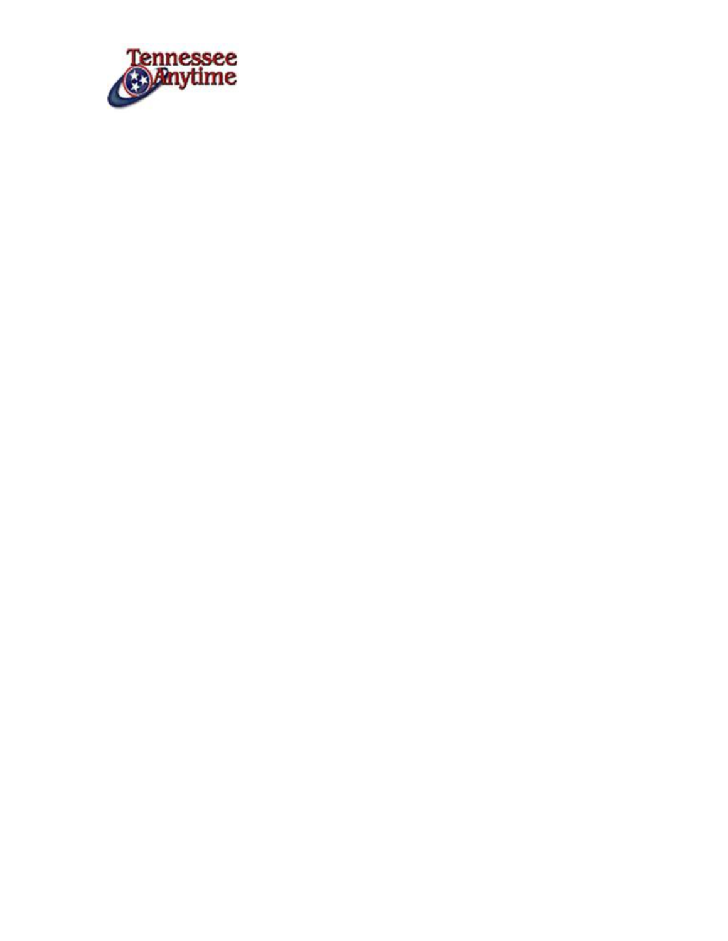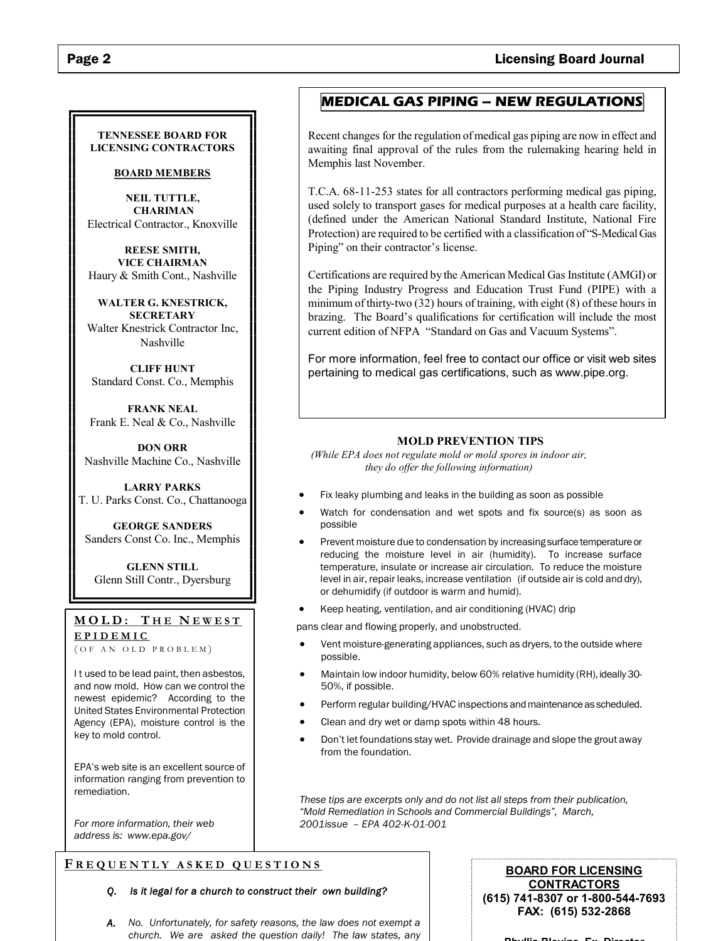#### **TENNESSEE BOARD FOR LICENSING CONTRACTORS**

#### **BOARD MEMBERS**

**NEIL TUTTLE, CHARIMAN** Electrical Contractor., Knoxville

**REESE SMITH, VICE CHAIRMAN** Haury & Smith Cont., Nashville

**WALTER G. KNESTRICK, SECRETARY** Walter Knestrick Contractor Inc, Nashville

**CLIFF HUNT** Standard Const. Co., Memphis

**FRANK NEAL** Frank E. Neal & Co., Nashville

**DON ORR** Nashville Machine Co., Nashville

**LARRY PARKS** T. U. Parks Const. Co., Chattanooga

**GEORGE SANDERS** Sanders Const Co. Inc., Memphis

**GLENN STILL** Glenn Still Contr., Dyersburg

#### **M O L D : T H E N E W E S T E P I D E M I C**

( OF AN OLD PROBLEM)

I t used to be lead paint, then asbestos, and now mold. How can we control the newest epidemic? According to the United States Environmental Protection Agency (EPA), moisture control is the key to mold control.

EPA's web site is an excellent source of information ranging from prevention to remediation.

*For more information, their web address is: www.epa.gov/*

## **MEDICAL GAS PIPING – NEW REGULATIONS**

Page 2

Recent changes for the regulation of medical gas piping are now in effect and awaiting final approval of the rules from the rulemaking hearing held in Memphis last November.

T.C.A. 68-11-253 states for all contractors performing medical gas piping, used solely to transport gases for medical purposes at a health care facility, (defined under the American National Standard Institute, National Fire Protection) are required to be certified with a classification of "S-Medical Gas Piping" on their contractor's license.

Certifications are required by the American Medical Gas Institute (AMGI) or the Piping Industry Progress and Education Trust Fund (PIPE) with a minimum of thirty-two  $(32)$  hours of training, with eight  $(8)$  of these hours in brazing. The Board's qualifications for certification will include the most current edition of NFPA "Standard on Gas and Vacuum Systems".

For more information, feel free to contact our office or visit web sites pertaining to medical gas certifications, such as www.pipe.org.

#### **MOLD PREVENTION TIPS**

*(While EPA does not regulate mold or mold spores in indoor air, they do offer the following information)*

- Fix leaky plumbing and leaks in the building as soon as possible
- Watch for condensation and wet spots and fix source(s) as soon as possible
- Prevent moisture due to condensation by increasing surface temperature or reducing the moisture level in air (humidity). To increase surface temperature, insulate or increase air circulation. To reduce the moisture level in air, repair leaks, increase ventilation (if outside air is cold and dry), or dehumidify (if outdoor is warm and humid).
- Keep heating, ventilation, and air conditioning (HVAC) drip

pans clear and flowing properly, and unobstructed.

- Vent moisture-generating appliances, such as dryers, to the outside where possible.
- Maintain low indoor humidity, below 60% relative humidity (RH), ideally 30-<br>50%, if possible.
- Perform regular building/HVAC inspections and maintenance as scheduled.
- Clean and dry wet or damp spots within 48 hours.
- · Don't let foundations stay wet. Provide drainage and slope the grout away from the foundation.

*These tips are excerpts only and do not list all steps from their publication, "Mold Remediation in Schools and Commercial Buildings", March, 2001issue – EPA 402-K-01-001*

#### **F R E Q U E N T L Y A S K E D Q U E S T I O N S**

#### *Q. Is it legal for a church to construct their own building?*

*A. No. Unfortunately, for safety reasons, the law does not exempt a church. We are asked the question daily! The law states, any* 

**BOARD FOR LICENSING CONTRACTORS (615) 7418307 or 18005447693 FAX: (615) 5322868**

**Phyllis Blevins, Ex. Director**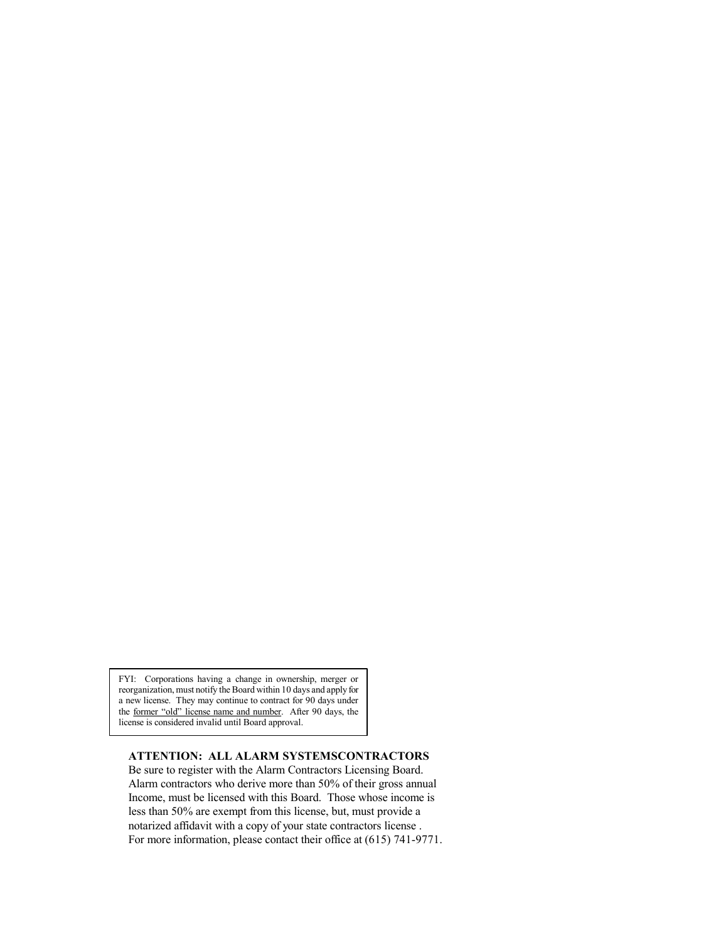FYI: Corporations having a change in ownership, merger or reorganization, must notify the Board within 10 days and apply for a new license. They may continue to contract for 90 days under the former "old" license name and number. After 90 days, the license is considered invalid until Board approval.

#### **ATTENTION: ALL ALARM SYSTEMSCONTRACTORS**

Be sure to register with the Alarm Contractors Licensing Board. Alarm contractors who derive more than 50% of their gross annual Income, must be licensed with this Board. Those whose income is less than 50% are exempt from this license, but, must provide a notarized affidavit with a copy of your state contractors license . For more information, please contact their office at (615) 741-9771.